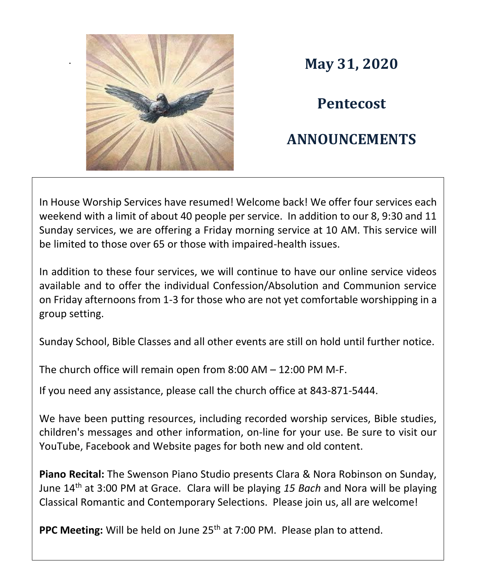

. **May 31, 2020**

**Pentecost**

## **ANNOUNCEMENTS**

In House Worship Services have resumed! Welcome back! We offer four services each weekend with a limit of about 40 people per service. In addition to our 8, 9:30 and 11 Sunday services, we are offering a Friday morning service at 10 AM. This service will be limited to those over 65 or those with impaired-health issues.

In addition to these four services, we will continue to have our online service videos available and to offer the individual Confession/Absolution and Communion service on Friday afternoons from 1-3 for those who are not yet comfortable worshipping in a group setting.

Sunday School, Bible Classes and all other events are still on hold until further notice.

The church office will remain open from 8:00 AM – 12:00 PM M-F.

If you need any assistance, please call the church office at 843-871-5444.

We have been putting resources, including recorded worship services, Bible studies, children's messages and other information, on-line for your use. Be sure to visit our YouTube, Facebook and Website pages for both new and old content.

**Piano Recital:** The Swenson Piano Studio presents Clara & Nora Robinson on Sunday, June 14th at 3:00 PM at Grace. Clara will be playing *15 Bach* and Nora will be playing Classical Romantic and Contemporary Selections. Please join us, all are welcome!

**PPC Meeting:** Will be held on June 25<sup>th</sup> at 7:00 PM. Please plan to attend.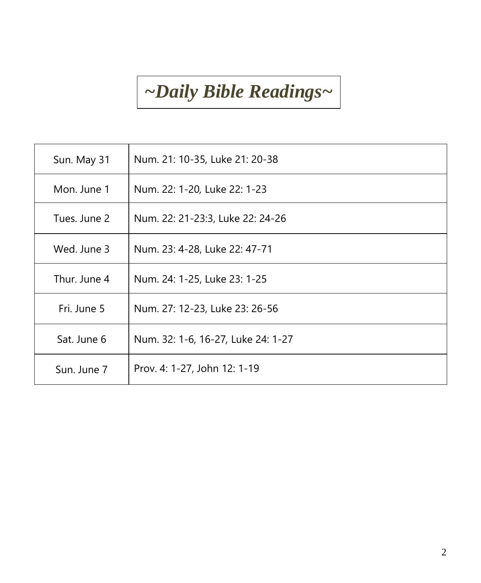## *~Daily Bible Readings~*

| Sun. May 31  | Num. 21: 10-35, Luke 21: 20-38     |
|--------------|------------------------------------|
| Mon. June 1  | Num. 22: 1-20, Luke 22: 1-23       |
| Tues. June 2 | Num. 22: 21-23:3, Luke 22: 24-26   |
| Wed. June 3  | Num. 23: 4-28, Luke 22: 47-71      |
| Thur. June 4 | Num. 24: 1-25, Luke 23: 1-25       |
| Fri. June 5  | Num. 27: 12-23, Luke 23: 26-56     |
| Sat. June 6  | Num. 32: 1-6, 16-27, Luke 24: 1-27 |
| Sun. June 7  | Prov. 4: 1-27, John 12: 1-19       |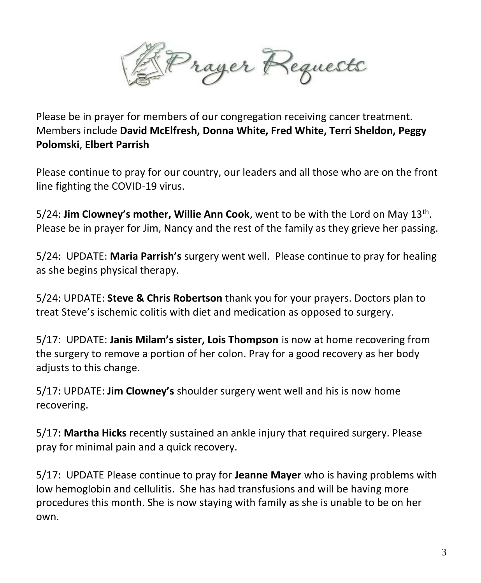Prayer Requests

Please be in prayer for members of our congregation receiving cancer treatment. Members include **David McElfresh, Donna White, Fred White, Terri Sheldon, Peggy Polomski**, **Elbert Parrish**

Please continue to pray for our country, our leaders and all those who are on the front line fighting the COVID-19 virus.

5/24: **Jim Clowney's mother, Willie Ann Cook**, went to be with the Lord on May 13<sup>th</sup>. Please be in prayer for Jim, Nancy and the rest of the family as they grieve her passing.

5/24: UPDATE: **Maria Parrish's** surgery went well. Please continue to pray for healing as she begins physical therapy.

5/24: UPDATE: **Steve & Chris Robertson** thank you for your prayers. Doctors plan to treat Steve's ischemic colitis with diet and medication as opposed to surgery.

5/17: UPDATE: **Janis Milam's sister, Lois Thompson** is now at home recovering from the surgery to remove a portion of her colon. Pray for a good recovery as her body adjusts to this change.

5/17: UPDATE: **Jim Clowney's** shoulder surgery went well and his is now home recovering.

5/17**: Martha Hicks** recently sustained an ankle injury that required surgery. Please pray for minimal pain and a quick recovery.

5/17: UPDATE Please continue to pray for **Jeanne Mayer** who is having problems with low hemoglobin and cellulitis. She has had transfusions and will be having more procedures this month. She is now staying with family as she is unable to be on her own.